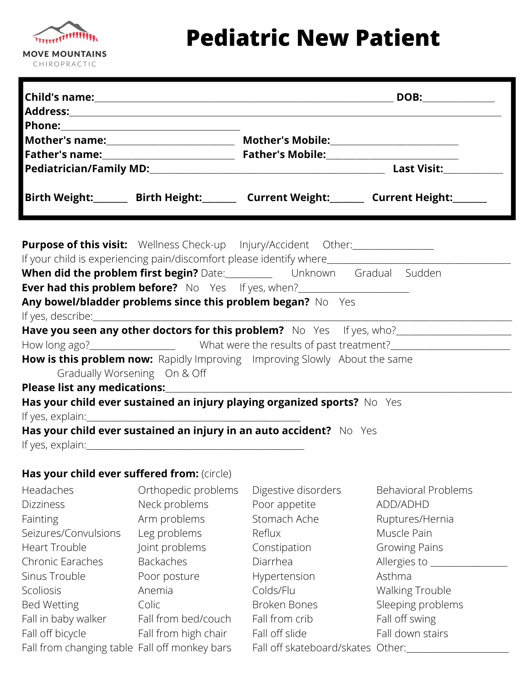## Treaser **MOVE MOUNTAINS** CHIROPRACTIC

## **Pediatric New Patient**

|                                             |                              |                                                                            | Birth Weight:________ Birth Height:________ Current Weight:_______ Current Height:_______ |
|---------------------------------------------|------------------------------|----------------------------------------------------------------------------|-------------------------------------------------------------------------------------------|
|                                             |                              | <b>Purpose of this visit:</b> Wellness Check-up Injury/Accident Other:     |                                                                                           |
|                                             |                              |                                                                            |                                                                                           |
|                                             |                              | When did the problem first begin? Date: Unknown Gradual Sudden             |                                                                                           |
|                                             |                              | Ever had this problem before? No Yes If yes, when?                         |                                                                                           |
|                                             |                              | Any bowel/bladder problems since this problem began? No Yes                |                                                                                           |
|                                             |                              |                                                                            |                                                                                           |
|                                             |                              |                                                                            |                                                                                           |
|                                             |                              |                                                                            |                                                                                           |
|                                             |                              | How is this problem now: Rapidly Improving Improving Slowly About the same |                                                                                           |
|                                             | Gradually Worsening On & Off |                                                                            |                                                                                           |
|                                             |                              |                                                                            |                                                                                           |
|                                             |                              | Has your child ever sustained an injury playing organized sports? No Yes   |                                                                                           |
|                                             |                              |                                                                            |                                                                                           |
|                                             |                              | Has your child ever sustained an injury in an auto accident? No Yes        |                                                                                           |
|                                             |                              |                                                                            |                                                                                           |
| Has your child ever suffered from: (circle) |                              |                                                                            |                                                                                           |
| Headaches                                   | Orthopedic problems          | Digestive disorders                                                        | <b>Behavioral Problems</b>                                                                |
| <b>Dizziness</b>                            | Neck problems                | Poor appetite                                                              | ADD/ADHD                                                                                  |
| Fainting                                    | Arm problems                 | Stomach Ache                                                               | Ruptures/Hernia                                                                           |
| Seizures/Convulsions                        | Leg problems                 | Reflux                                                                     | Muscle Pain                                                                               |
| <b>Heart Trouble</b>                        | Joint problems               | Constipation                                                               | Growing Pains                                                                             |
| Chronic Earaches                            | <b>Backaches</b>             | Diarrhea                                                                   | Allergies to _____                                                                        |
| Sinus Trouble                               | Poor posture                 | Hypertension                                                               | Asthma                                                                                    |
| Scoliosis                                   | Anemia                       | Colds/Flu                                                                  | Walking Trouble                                                                           |
| <b>Bed Wetting</b>                          | Colic                        | <b>Broken Bones</b>                                                        | Sleeping problems                                                                         |
| Fall in baby walker                         | Fall from bed/couch          | Fall from crib                                                             | Fall off swing                                                                            |
| Fall off bicycle                            | Fall from high chair         | Fall off slide                                                             | Fall down stairs                                                                          |

Fall off bicycle Fall from changing table Fall off monkey bars Fall from high chair Fall off monkey bars

Fall off slide Fall off skateboard/skates Other:\_\_\_\_\_\_\_\_\_\_\_\_\_\_\_\_\_\_\_\_\_\_\_\_